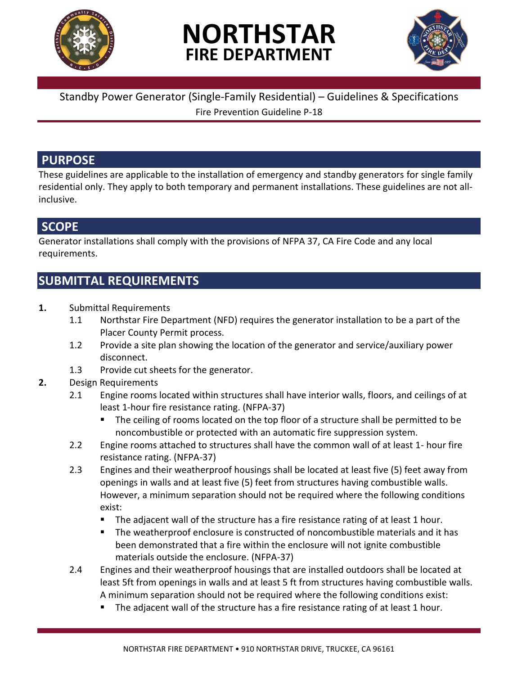

# **NORTHSTAR FIRE DEPARTMENT**



#### Standby Power Generator (Single-Family Residential) – Guidelines & Specifications Fire Prevention Guideline P-18

### **PURPOSE**

These guidelines are applicable to the installation of emergency and standby generators for single family residential only. They apply to both temporary and permanent installations. These guidelines are not allinclusive.

## **SCOPE**

Generator installations shall comply with the provisions of NFPA 37, CA Fire Code and any local requirements.

## **SUBMITTAL REQUIREMENTS**

- **1.** Submittal Requirements
	- 1.1 Northstar Fire Department (NFD) requires the generator installation to be a part of the Placer County Permit process.
	- 1.2 Provide a site plan showing the location of the generator and service/auxiliary power disconnect.
	- 1.3 Provide cut sheets for the generator.
- **2.** Design Requirements
	- 2.1 Engine rooms located within structures shall have interior walls, floors, and ceilings of at least 1-hour fire resistance rating. (NFPA-37)
		- The ceiling of rooms located on the top floor of a structure shall be permitted to be noncombustible or protected with an automatic fire suppression system.
	- 2.2 Engine rooms attached to structures shall have the common wall of at least 1- hour fire resistance rating. (NFPA-37)
	- 2.3 Engines and their weatherproof housings shall be located at least five (5) feet away from openings in walls and at least five (5) feet from structures having combustible walls. However, a minimum separation should not be required where the following conditions exist:
		- The adjacent wall of the structure has a fire resistance rating of at least 1 hour.
		- The weatherproof enclosure is constructed of noncombustible materials and it has been demonstrated that a fire within the enclosure will not ignite combustible materials outside the enclosure. (NFPA-37)
	- 2.4 Engines and their weatherproof housings that are installed outdoors shall be located at least 5ft from openings in walls and at least 5 ft from structures having combustible walls. A minimum separation should not be required where the following conditions exist:
		- The adjacent wall of the structure has a fire resistance rating of at least 1 hour.